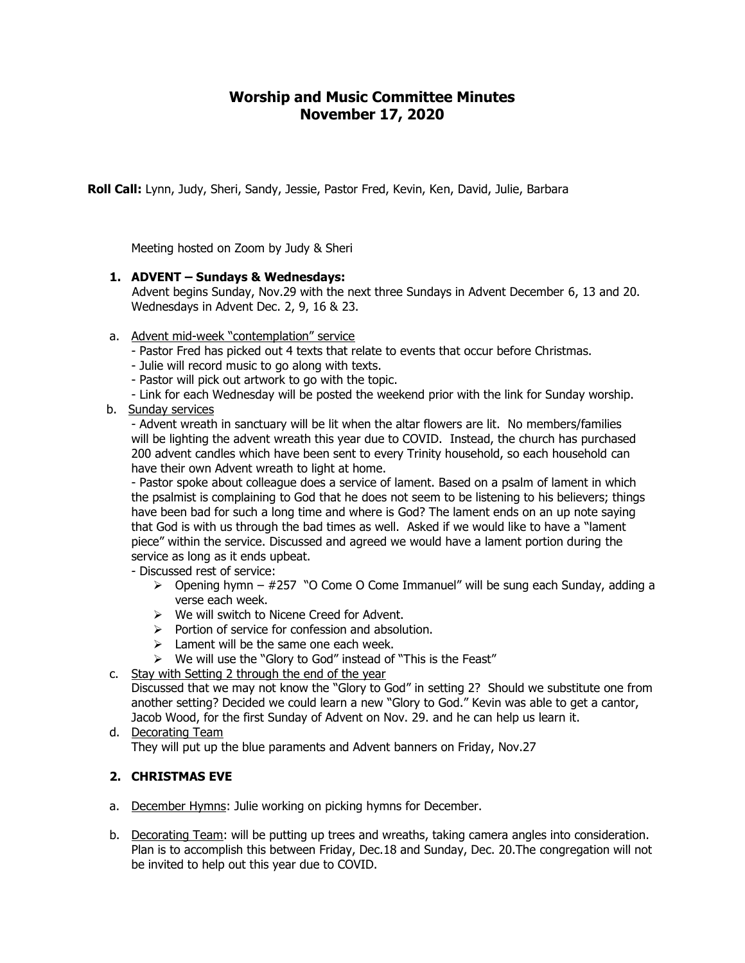# **Worship and Music Committee Minutes November 17, 2020**

**Roll Call:** Lynn, Judy, Sheri, Sandy, Jessie, Pastor Fred, Kevin, Ken, David, Julie, Barbara

Meeting hosted on Zoom by Judy & Sheri

#### **1. ADVENT – Sundays & Wednesdays:**

Advent begins Sunday, Nov.29 with the next three Sundays in Advent December 6, 13 and 20. Wednesdays in Advent Dec. 2, 9, 16 & 23.

- a. Advent mid-week "contemplation" service
	- Pastor Fred has picked out 4 texts that relate to events that occur before Christmas.
	- Julie will record music to go along with texts.
	- Pastor will pick out artwork to go with the topic.
	- Link for each Wednesday will be posted the weekend prior with the link for Sunday worship.
- b. Sunday services

- Advent wreath in sanctuary will be lit when the altar flowers are lit. No members/families will be lighting the advent wreath this year due to COVID. Instead, the church has purchased 200 advent candles which have been sent to every Trinity household, so each household can have their own Advent wreath to light at home.

- Pastor spoke about colleague does a service of lament. Based on a psalm of lament in which the psalmist is complaining to God that he does not seem to be listening to his believers; things have been bad for such a long time and where is God? The lament ends on an up note saying that God is with us through the bad times as well. Asked if we would like to have a "lament piece" within the service. Discussed and agreed we would have a lament portion during the service as long as it ends upbeat.

- Discussed rest of service:
	- $\triangleright$  Opening hymn #257 "O Come O Come Immanuel" will be sung each Sunday, adding a verse each week.
	- ➢ We will switch to Nicene Creed for Advent.
	- $\triangleright$  Portion of service for confession and absolution.
	- $\geq$  Lament will be the same one each week.
	- ➢ We will use the "Glory to God" instead of "This is the Feast"

## c. Stay with Setting 2 through the end of the year

Discussed that we may not know the "Glory to God" in setting 2? Should we substitute one from another setting? Decided we could learn a new "Glory to God." Kevin was able to get a cantor, Jacob Wood, for the first Sunday of Advent on Nov. 29. and he can help us learn it.

d. Decorating Team They will put up the blue paraments and Advent banners on Friday, Nov.27

## **2. CHRISTMAS EVE**

- a. December Hymns: Julie working on picking hymns for December.
- b. Decorating Team: will be putting up trees and wreaths, taking camera angles into consideration. Plan is to accomplish this between Friday, Dec.18 and Sunday, Dec. 20.The congregation will not be invited to help out this year due to COVID.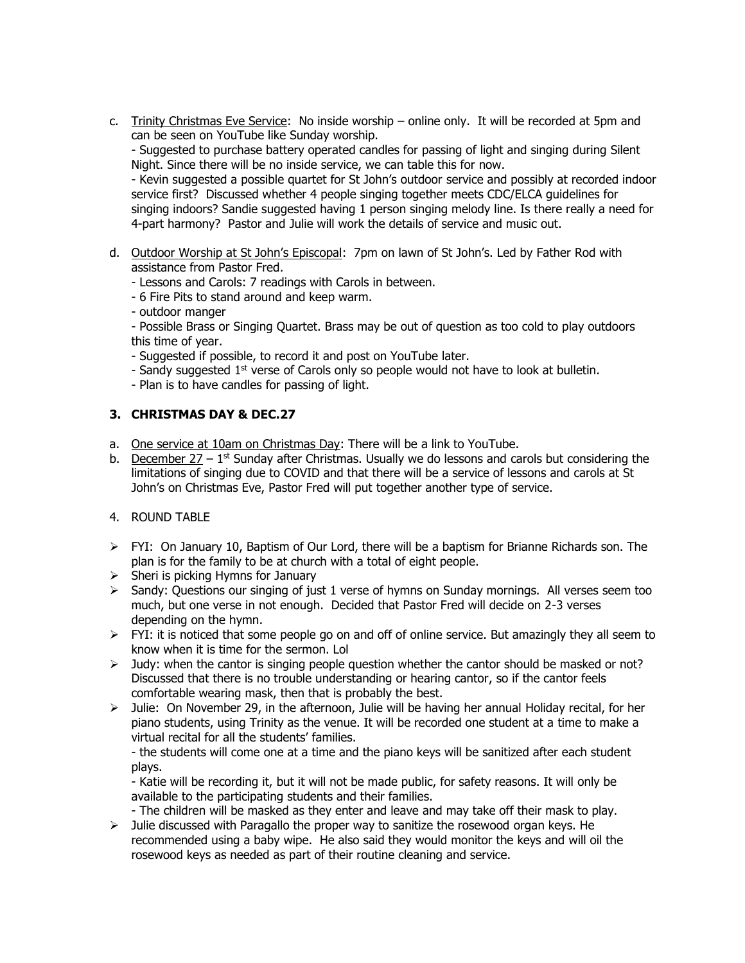c. Trinity Christmas Eve Service: No inside worship – online only. It will be recorded at 5pm and can be seen on YouTube like Sunday worship.

- Suggested to purchase battery operated candles for passing of light and singing during Silent Night. Since there will be no inside service, we can table this for now.

- Kevin suggested a possible quartet for St John's outdoor service and possibly at recorded indoor service first? Discussed whether 4 people singing together meets CDC/ELCA guidelines for singing indoors? Sandie suggested having 1 person singing melody line. Is there really a need for 4-part harmony? Pastor and Julie will work the details of service and music out.

- d. Outdoor Worship at St John's Episcopal: 7pm on lawn of St John's. Led by Father Rod with assistance from Pastor Fred.
	- Lessons and Carols: 7 readings with Carols in between.
	- 6 Fire Pits to stand around and keep warm.
	- outdoor manger
	- Possible Brass or Singing Quartet. Brass may be out of question as too cold to play outdoors this time of year.
	- Suggested if possible, to record it and post on YouTube later.
	- Sandy suggested  $1<sup>st</sup>$  verse of Carols only so people would not have to look at bulletin.
	- Plan is to have candles for passing of light.

#### **3. CHRISTMAS DAY & DEC.27**

- a. One service at 10am on Christmas Day: There will be a link to YouTube.
- b. December  $27 1$ <sup>st</sup> Sunday after Christmas. Usually we do lessons and carols but considering the limitations of singing due to COVID and that there will be a service of lessons and carols at St John's on Christmas Eve, Pastor Fred will put together another type of service.
- 4. ROUND TABLE
- $\triangleright$  FYI: On January 10, Baptism of Our Lord, there will be a baptism for Brianne Richards son. The plan is for the family to be at church with a total of eight people.
- $\triangleright$  Sheri is picking Hymns for January
- $\triangleright$  Sandy: Questions our singing of just 1 verse of hymns on Sunday mornings. All verses seem too much, but one verse in not enough. Decided that Pastor Fred will decide on 2-3 verses depending on the hymn.
- ➢ FYI: it is noticed that some people go on and off of online service. But amazingly they all seem to know when it is time for the sermon. Lol
- $\geq$  Judy: when the cantor is singing people question whether the cantor should be masked or not? Discussed that there is no trouble understanding or hearing cantor, so if the cantor feels comfortable wearing mask, then that is probably the best.
- $\triangleright$  Julie: On November 29, in the afternoon, Julie will be having her annual Holiday recital, for her piano students, using Trinity as the venue. It will be recorded one student at a time to make a virtual recital for all the students' families.

- the students will come one at a time and the piano keys will be sanitized after each student plays.

- Katie will be recording it, but it will not be made public, for safety reasons. It will only be available to the participating students and their families.

- The children will be masked as they enter and leave and may take off their mask to play.
- $\triangleright$  Julie discussed with Paragallo the proper way to sanitize the rosewood organ keys. He recommended using a baby wipe. He also said they would monitor the keys and will oil the rosewood keys as needed as part of their routine cleaning and service.